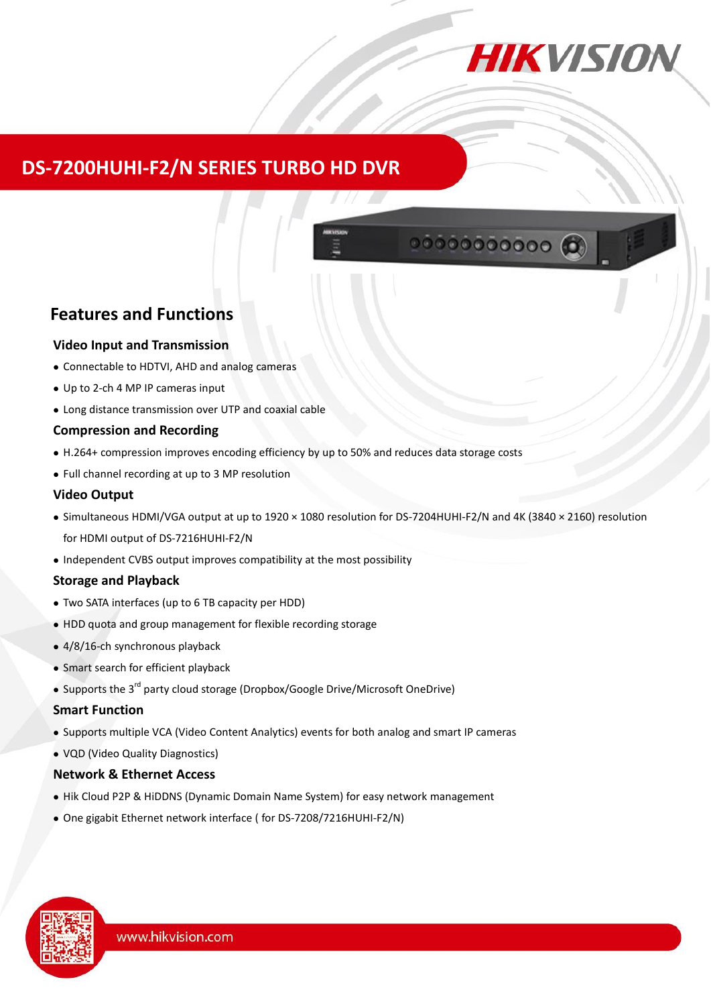

00000000000

# **DS-7200HUHI-F2/N SERIES TURBO HD DVR**

## **Features and Functions**

#### **Video Input and Transmission**

- Connectable to HDTVI, AHD and analog cameras
- Up to 2-ch 4 MP IP cameras input
- Long distance transmission over UTP and coaxial cable

#### **Compression and Recording**

- H.264+ compression improves encoding efficiency by up to 50% and reduces data storage costs
- Full channel recording at up to 3 MP resolution

#### **Video Output**

- Simultaneous HDMI/VGA output at up to 1920 × 1080 resolution for DS-7204HUHI-F2/N and 4K (3840 × 2160) resolution for HDMI output of DS-7216HUHI-F2/N
- Independent CVBS output improves compatibility at the most possibility

### **Storage and Playback**

- Two SATA interfaces (up to 6 TB capacity per HDD)
- HDD quota and group management for flexible recording storage
- 4/8/16-ch synchronous playback
- Smart search for efficient playback
- Supports the 3<sup>rd</sup> party cloud storage (Dropbox/Google Drive/Microsoft OneDrive)

#### **Smart Function**

- Supports multiple VCA (Video Content Analytics) events for both analog and smart IP cameras
- VQD (Video Quality Diagnostics)

#### **Network & Ethernet Access**

- Hik Cloud P2P & HiDDNS (Dynamic Domain Name System) for easy network management
- One gigabit Ethernet network interface ( for DS-7208/7216HUHI-F2/N)

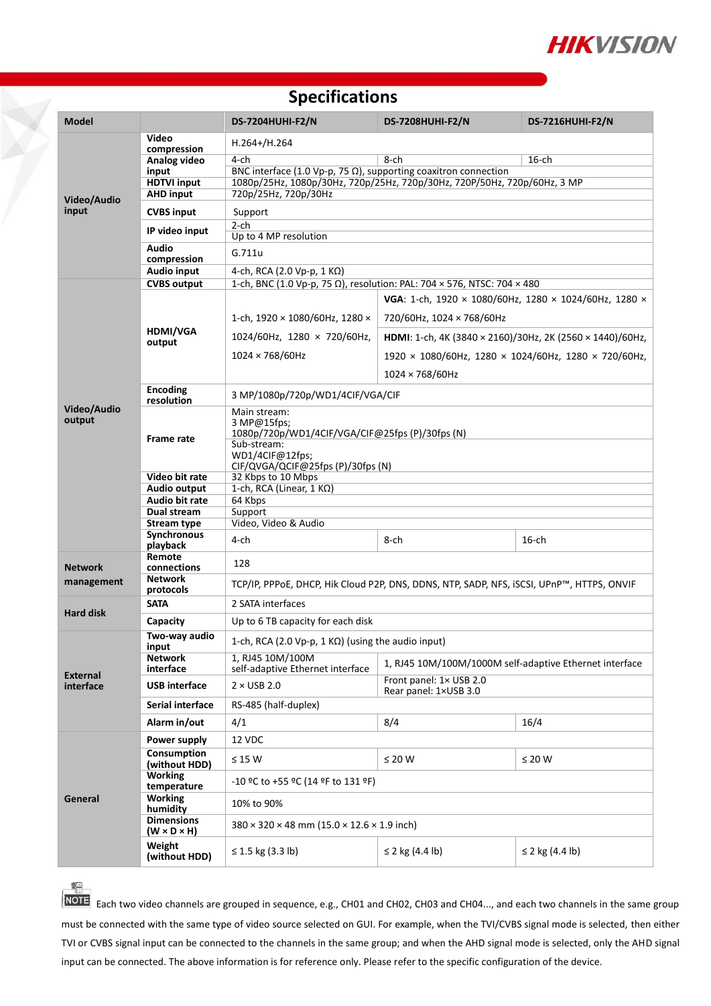

## **Specifications**

| <b>Model</b>                 |                                                                   | <b>DS-7204HUHI-F2/N</b>                                                                                                                             | <b>DS-7208HUHI-F2/N</b>                                                      | <b>DS-7216HUHI-F2/N</b>   |  |  |
|------------------------------|-------------------------------------------------------------------|-----------------------------------------------------------------------------------------------------------------------------------------------------|------------------------------------------------------------------------------|---------------------------|--|--|
|                              | Video                                                             | $H.264+ / H.264$                                                                                                                                    |                                                                              |                           |  |  |
| Video/Audio<br>input         | compression<br>Analog video                                       | $4$ -ch                                                                                                                                             | 8-ch                                                                         | $16$ -ch                  |  |  |
|                              | input                                                             |                                                                                                                                                     |                                                                              |                           |  |  |
|                              | <b>HDTVI input</b>                                                | BNC interface (1.0 Vp-p, 75 $\Omega$ ), supporting coaxitron connection<br>1080p/25Hz, 1080p/30Hz, 720p/25Hz, 720p/30Hz, 720P/50Hz, 720p/60Hz, 3 MP |                                                                              |                           |  |  |
|                              | <b>AHD input</b>                                                  | 720p/25Hz, 720p/30Hz                                                                                                                                |                                                                              |                           |  |  |
|                              | <b>CVBS input</b>                                                 | Support                                                                                                                                             |                                                                              |                           |  |  |
|                              | IP video input                                                    | $2$ -ch<br>Up to 4 MP resolution                                                                                                                    |                                                                              |                           |  |  |
|                              | <b>Audio</b><br>compression                                       | G.711u                                                                                                                                              |                                                                              |                           |  |  |
|                              | <b>Audio input</b><br>4-ch, RCA (2.0 Vp-p, 1 KΩ)                  |                                                                                                                                                     |                                                                              |                           |  |  |
|                              | <b>CVBS output</b>                                                | 1-ch, BNC (1.0 Vp-p, 75 Ω), resolution: PAL: 704 × 576, NTSC: 704 × 480                                                                             |                                                                              |                           |  |  |
| Video/Audio<br>output        |                                                                   | VGA: 1-ch, 1920 × 1080/60Hz, 1280 × 1024/60Hz, 1280 ×                                                                                               |                                                                              |                           |  |  |
|                              | <b>HDMI/VGA</b><br>output                                         | 1-ch, 1920 × 1080/60Hz, 1280 ×                                                                                                                      | 720/60Hz, 1024 × 768/60Hz                                                    |                           |  |  |
|                              |                                                                   | 1024/60Hz, 1280 × 720/60Hz,                                                                                                                         | HDMI: 1-ch, 4K (3840 × 2160)/30Hz, 2K (2560 × 1440)/60Hz,                    |                           |  |  |
|                              |                                                                   | $1024 \times 768/60$ Hz                                                                                                                             | $1920 \times 1080/60$ Hz, $1280 \times 1024/60$ Hz, $1280 \times 720/60$ Hz, |                           |  |  |
|                              |                                                                   |                                                                                                                                                     | 1024 × 768/60Hz                                                              |                           |  |  |
|                              | <b>Encoding</b><br>resolution                                     | 3 MP/1080p/720p/WD1/4CIF/VGA/CIF                                                                                                                    |                                                                              |                           |  |  |
|                              |                                                                   | Main stream:<br>3 MP@15fps;<br>1080p/720p/WD1/4CIF/VGA/CIF@25fps (P)/30fps (N)                                                                      |                                                                              |                           |  |  |
|                              | <b>Frame rate</b>                                                 | Sub-stream:<br>WD1/4CIF@12fps;<br>CIF/QVGA/QCIF@25fps (P)/30fps (N)                                                                                 |                                                                              |                           |  |  |
|                              | Video bit rate                                                    | 32 Kbps to 10 Mbps                                                                                                                                  |                                                                              |                           |  |  |
|                              | <b>Audio output</b>                                               | 1-ch, RCA (Linear, 1 KΩ)                                                                                                                            |                                                                              |                           |  |  |
|                              | Audio bit rate                                                    | 64 Kbps                                                                                                                                             |                                                                              |                           |  |  |
|                              | Dual stream                                                       | Support                                                                                                                                             |                                                                              |                           |  |  |
|                              | <b>Stream type</b><br><b>Synchronous</b>                          | Video, Video & Audio                                                                                                                                |                                                                              |                           |  |  |
|                              | playback                                                          | 4-ch                                                                                                                                                | 8-ch                                                                         | $16$ -ch                  |  |  |
| <b>Network</b>               | Remote<br>connections                                             | 128                                                                                                                                                 |                                                                              |                           |  |  |
| management                   | <b>Network</b><br>protocols                                       | TCP/IP, PPPoE, DHCP, Hik Cloud P2P, DNS, DDNS, NTP, SADP, NFS, ISCSI, UPnP™, HTTPS, ONVIF                                                           |                                                                              |                           |  |  |
|                              | <b>SATA</b>                                                       | 2 SATA interfaces                                                                                                                                   |                                                                              |                           |  |  |
|                              | <b>Hard disk</b><br>Up to 6 TB capacity for each disk<br>Capacity |                                                                                                                                                     |                                                                              |                           |  |  |
| <b>External</b><br>interface | Two-way audio<br>input                                            | 1-ch, RCA (2.0 Vp-p, 1 KΩ) (using the audio input)                                                                                                  |                                                                              |                           |  |  |
|                              | <b>Network</b><br>interface                                       | 1, RJ45 10M/100M<br>self-adaptive Ethernet interface                                                                                                | 1, RJ45 10M/100M/1000M self-adaptive Ethernet interface                      |                           |  |  |
|                              | <b>USB</b> interface                                              | $2 \times$ USB 2.0                                                                                                                                  | Front panel: 1× USB 2.0<br>Rear panel: 1×USB 3.0                             |                           |  |  |
|                              | Serial interface                                                  | RS-485 (half-duplex)                                                                                                                                |                                                                              |                           |  |  |
|                              | Alarm in/out                                                      | 4/1                                                                                                                                                 | 8/4                                                                          | 16/4                      |  |  |
| General                      | Power supply                                                      | 12 VDC                                                                                                                                              |                                                                              |                           |  |  |
|                              | <b>Consumption</b><br>(without HDD)                               | $\leq$ 15 W                                                                                                                                         | $\leq 20$ W                                                                  | $\leq 20$ W               |  |  |
|                              | <b>Working</b><br>temperature                                     | -10 °C to +55 °C (14 °F to 131 °F)                                                                                                                  |                                                                              |                           |  |  |
|                              | <b>Working</b><br>humidity                                        | 10% to 90%                                                                                                                                          |                                                                              |                           |  |  |
|                              | <b>Dimensions</b><br>$(W \times D \times H)$                      | $380 \times 320 \times 48$ mm (15.0 $\times$ 12.6 $\times$ 1.9 inch)                                                                                |                                                                              |                           |  |  |
|                              | Weight<br>(without HDD)                                           | ≤ 1.5 kg $(3.3 \text{ lb})$                                                                                                                         | ≤ 2 kg $(4.4 \text{ lb})$                                                    | ≤ 2 kg $(4.4 \text{ lb})$ |  |  |

**SLL** 

**NOTE** Each two video channels are grouped in sequence, e.g., CH01 and CH02, CH03 and CH04..., and each two channels in the same group must be connected with the same type of video source selected on GUI. For example, when the TVI/CVBS signal mode is selected, then either TVI or CVBS signal input can be connected to the channels in the same group; and when the AHD signal mode is selected, only the AHD signal input can be connected. The above information is for reference only. Please refer to the specific configuration of the device.